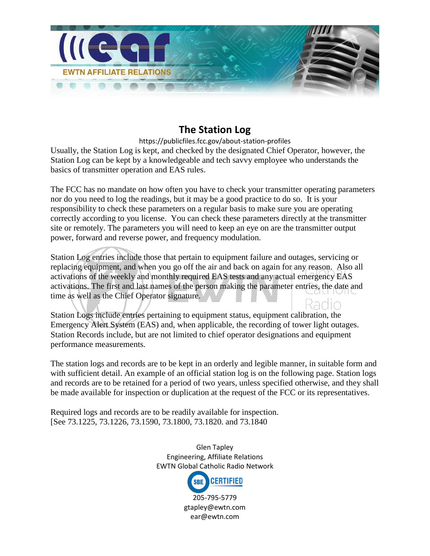

## **The Station Log**

[https://publicfiles.fcc.gov/about-station-profiles](https://publicfiles.fcc.gov/about-station-profiles/)

Usually, the Station Log is kept, and checked by the designated Chief Operator, however, the Station Log can be kept by a knowledgeable and tech savvy employee who understands the basics of transmitter operation and EAS rules.

The FCC has no mandate on how often you have to check your transmitter operating parameters nor do you need to log the readings, but it may be a good practice to do so. It is your responsibility to check these parameters on a regular basis to make sure you are operating correctly according to you license. You can check these parameters directly at the transmitter site or remotely. The parameters you will need to keep an eye on are the transmitter output power, forward and reverse power, and frequency modulation.

Station Log entries include those that pertain to equipment failure and outages, servicing or replacing equipment, and when you go off the air and back on again for any reason. Also all activations of the weekly and monthly required EAS tests and any actual emergency EAS activations. The first and last names of the person making the parameter entries, the date and time as well as the Chief Operator signature.

Station Logs include entries pertaining to equipment status, equipment calibration, the Emergency Alert System (EAS) and, when applicable, the recording of tower light outages. Station Records include, but are not limited to chief operator designations and equipment performance measurements.

The station logs and records are to be kept in an orderly and legible manner, in suitable form and with sufficient detail. An example of an official station log is on the following page. Station logs and records are to be retained for a period of two years, unless specified otherwise, and they shall be made available for inspection or duplication at the request of the FCC or its representatives.

Required logs and records are to be readily available for inspection. [See 73.1225, 73.1226, 73.1590, 73.1800, 73.1820. and 73.1840

> Glen Tapley Engineering, Affiliate Relations EWTN Global Catholic Radio Network

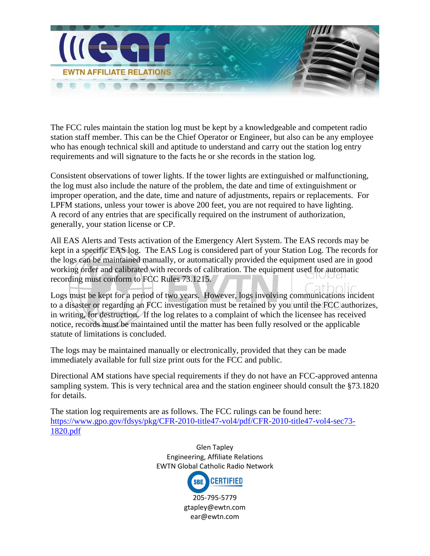

The FCC rules maintain the station log must be kept by a knowledgeable and competent radio station staff member. This can be the Chief Operator or Engineer, but also can be any employee who has enough technical skill and aptitude to understand and carry out the station log entry requirements and will signature to the facts he or she records in the station log.

Consistent observations of tower lights. If the tower lights are extinguished or malfunctioning, the log must also include the nature of the problem, the date and time of extinguishment or improper operation, and the date, time and nature of adjustments, repairs or replacements. For LPFM stations, unless your tower is above 200 feet, you are not required to have lighting. A record of any entries that are specifically required on the instrument of authorization, generally, your station license or CP.

All EAS Alerts and Tests activation of the Emergency Alert System. The EAS records may be kept in a specific EAS log. The EAS Log is considered part of your Station Log. The records for the logs can be maintained manually, or automatically provided the equipment used are in good working order and calibrated with records of calibration. The equipment used for automatic recording must conform to FCC Rules 73.1215.

Logs must be kept for a period of two years. However, logs involving communications incident to a disaster or regarding an FCC investigation must be retained by you until the FCC authorizes, in writing, for destruction. If the log relates to a complaint of which the licensee has received notice, records must be maintained until the matter has been fully resolved or the applicable statute of limitations is concluded.

The logs may be maintained manually or electronically, provided that they can be made immediately available for full size print outs for the FCC and public.

Directional AM stations have special requirements if they do not have an FCC-approved antenna sampling system. This is very technical area and the station engineer should consult the §73.1820 for details.

The station log requirements are as follows. The FCC rulings can be found here: [https://www.gpo.gov/fdsys/pkg/CFR-2010-title47-vol4/pdf/CFR-2010-title47-vol4-sec73-](https://www.gpo.gov/fdsys/pkg/CFR-2010-title47-vol4/pdf/CFR-2010-title47-vol4-sec73-1820.pdf) [1820.pdf](https://www.gpo.gov/fdsys/pkg/CFR-2010-title47-vol4/pdf/CFR-2010-title47-vol4-sec73-1820.pdf)

> Glen Tapley Engineering, Affiliate Relations EWTN Global Catholic Radio Network